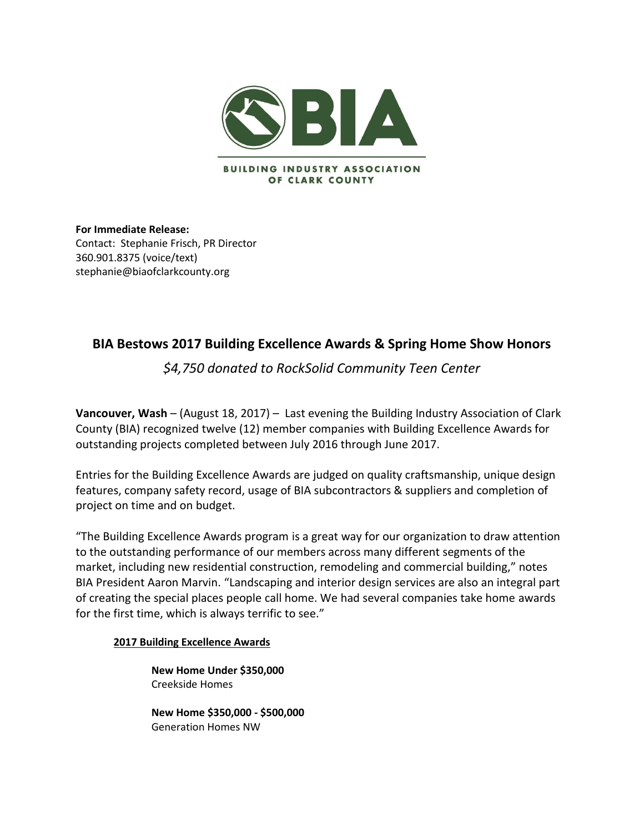

**For Immediate Release:**  Contact:Stephanie Frisch, PR Director 360.901.8375 (voice/text) stephanie@biaofclarkcounty.org

# **BIA Bestows 2017 Building Excellence Awards & Spring Home Show Honors**

*\$4,750 donated to RockSolid Community Teen Center* 

**Vancouver, Wash** – (August 18, 2017) – Last evening the Building Industry Association of Clark County (BIA) recognized twelve (12) member companies with Building Excellence Awards for outstanding projects completed between July 2016 through June 2017.

Entries for the Building Excellence Awards are judged on quality craftsmanship, unique design features, company safety record, usage of BIA subcontractors & suppliers and completion of project on time and on budget.

"The Building Excellence Awards program is a great way for our organization to draw attention to the outstanding performance of our members across many different segments of the market, including new residential construction, remodeling and commercial building," notes BIA President Aaron Marvin. "Landscaping and interior design services are also an integral part of creating the special places people call home. We had several companies take home awards for the first time, which is always terrific to see."

# **2017 Building Excellence Awards**

**New Home Under \$350,000** Creekside Homes

**New Home \$350,000 - \$500,000** Generation Homes NW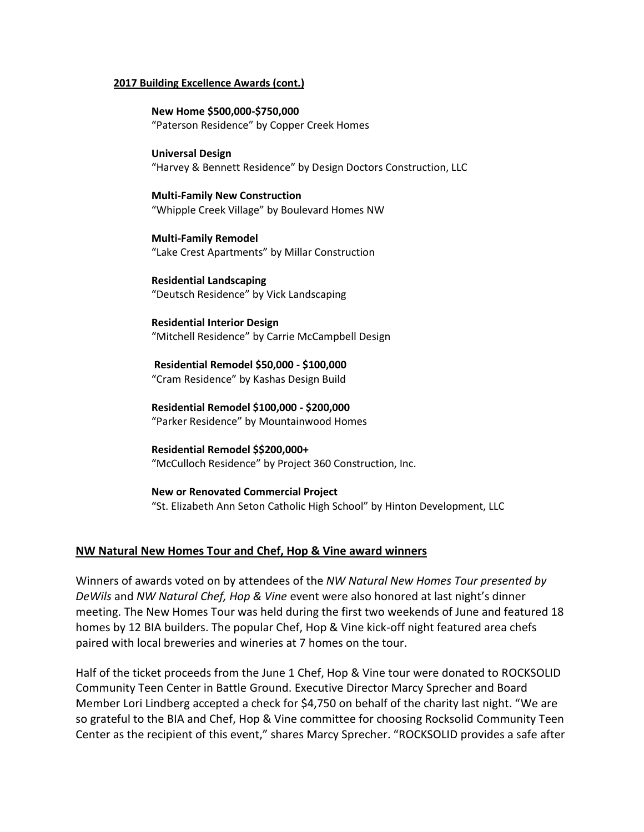#### **2017 Building Excellence Awards (cont.)**

**New Home \$500,000-\$750,000** "Paterson Residence" by Copper Creek Homes

**Universal Design** "Harvey & Bennett Residence" by Design Doctors Construction, LLC

**Multi-Family New Construction** "Whipple Creek Village" by Boulevard Homes NW

**Multi-Family Remodel** "Lake Crest Apartments" by Millar Construction

**Residential Landscaping** "Deutsch Residence" by Vick Landscaping

**Residential Interior Design** "Mitchell Residence" by Carrie McCampbell Design

**Residential Remodel \$50,000 - \$100,000** "Cram Residence" by Kashas Design Build

**Residential Remodel \$100,000 - \$200,000** "Parker Residence" by Mountainwood Homes

**Residential Remodel \$\$200,000+** "McCulloch Residence" by Project 360 Construction, Inc.

**New or Renovated Commercial Project** "St. Elizabeth Ann Seton Catholic High School" by Hinton Development, LLC

# **NW Natural New Homes Tour and Chef, Hop & Vine award winners**

Winners of awards voted on by attendees of the *NW Natural New Homes Tour presented by DeWils* and *NW Natural Chef, Hop & Vine* event were also honored at last night's dinner meeting. The New Homes Tour was held during the first two weekends of June and featured 18 homes by 12 BIA builders. The popular Chef, Hop & Vine kick-off night featured area chefs paired with local breweries and wineries at 7 homes on the tour.

Half of the ticket proceeds from the June 1 Chef, Hop & Vine tour were donated to ROCKSOLID Community Teen Center in Battle Ground. Executive Director Marcy Sprecher and Board Member Lori Lindberg accepted a check for \$4,750 on behalf of the charity last night. "We are so grateful to the BIA and Chef, Hop & Vine committee for choosing Rocksolid Community Teen Center as the recipient of this event," shares Marcy Sprecher. "ROCKSOLID provides a safe after